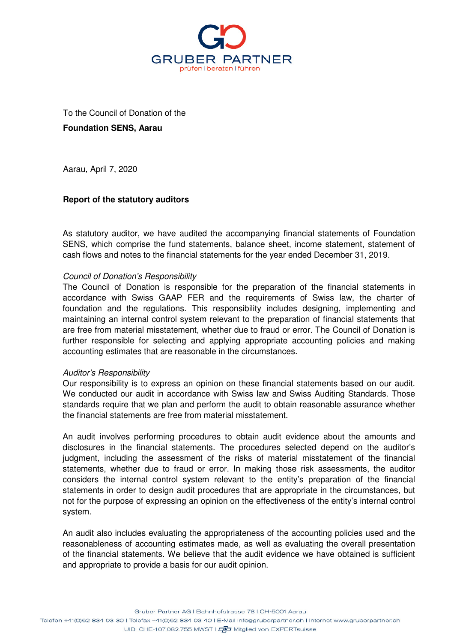

To the Council of Donation of the **Foundation SENS, Aarau** 

Aarau, April 7, 2020

# **Report of the statutory auditors**

As statutory auditor, we have audited the accompanying financial statements of Foundation SENS, which comprise the fund statements, balance sheet, income statement, statement of cash flows and notes to the financial statements for the year ended December 31, 2019.

## Council of Donation's Responsibility

The Council of Donation is responsible for the preparation of the financial statements in accordance with Swiss GAAP FER and the requirements of Swiss law, the charter of foundation and the regulations. This responsibility includes designing, implementing and maintaining an internal control system relevant to the preparation of financial statements that are free from material misstatement, whether due to fraud or error. The Council of Donation is further responsible for selecting and applying appropriate accounting policies and making accounting estimates that are reasonable in the circumstances.

## Auditor's Responsibility

Our responsibility is to express an opinion on these financial statements based on our audit. We conducted our audit in accordance with Swiss law and Swiss Auditing Standards. Those standards require that we plan and perform the audit to obtain reasonable assurance whether the financial statements are free from material misstatement.

An audit involves performing procedures to obtain audit evidence about the amounts and disclosures in the financial statements. The procedures selected depend on the auditor's judgment, including the assessment of the risks of material misstatement of the financial statements, whether due to fraud or error. In making those risk assessments, the auditor considers the internal control system relevant to the entity's preparation of the financial statements in order to design audit procedures that are appropriate in the circumstances, but not for the purpose of expressing an opinion on the effectiveness of the entity's internal control system.

An audit also includes evaluating the appropriateness of the accounting policies used and the reasonableness of accounting estimates made, as well as evaluating the overall presentation of the financial statements. We believe that the audit evidence we have obtained is sufficient and appropriate to provide a basis for our audit opinion.

Gruber Partner AG | Bahnhofstrasse 78 | CH-5001 Aarau

Telefon +41(0)62 834 03 30 | Telefax +41(0)62 834 03 40 | E-Mail info@gruberpartner.ch | Internet www.gruberpartner.ch UID: CHE-107.082.755 MWST | LUID: CHE-107.082.755 MWST | LUID